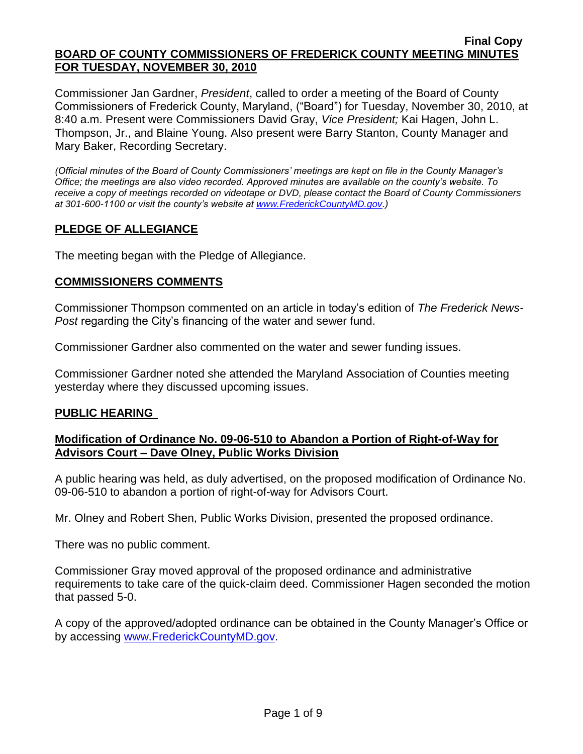Commissioner Jan Gardner, *President*, called to order a meeting of the Board of County Commissioners of Frederick County, Maryland, ("Board") for Tuesday, November 30, 2010, at 8:40 a.m. Present were Commissioners David Gray, *Vice President;* Kai Hagen, John L. Thompson, Jr., and Blaine Young. Also present were Barry Stanton, County Manager and Mary Baker, Recording Secretary.

*(Official minutes of the Board of County Commissioners' meetings are kept on file in the County Manager's Office; the meetings are also video recorded. Approved minutes are available on the county's website. To receive a copy of meetings recorded on videotape or DVD, please contact the Board of County Commissioners at 301-600-1100 or visit the county's website at [www.FrederickCountyMD.gov.](http://www.frederickcountymd.gov/))*

# **PLEDGE OF ALLEGIANCE**

The meeting began with the Pledge of Allegiance.

## **COMMISSIONERS COMMENTS**

Commissioner Thompson commented on an article in today's edition of *The Frederick News-Post* regarding the City's financing of the water and sewer fund.

Commissioner Gardner also commented on the water and sewer funding issues.

Commissioner Gardner noted she attended the Maryland Association of Counties meeting yesterday where they discussed upcoming issues.

## **PUBLIC HEARING**

## **Modification of Ordinance No. 09-06-510 to Abandon a Portion of Right-of-Way for Advisors Court – Dave Olney, Public Works Division**

A public hearing was held, as duly advertised, on the proposed modification of Ordinance No. 09-06-510 to abandon a portion of right-of-way for Advisors Court.

Mr. Olney and Robert Shen, Public Works Division, presented the proposed ordinance.

There was no public comment.

Commissioner Gray moved approval of the proposed ordinance and administrative requirements to take care of the quick-claim deed. Commissioner Hagen seconded the motion that passed 5-0.

A copy of the approved/adopted ordinance can be obtained in the County Manager's Office or by accessing [www.FrederickCountyMD.gov.](file://NT1S5/BOCC/BOCC/BOCC%20Minutes/Mary)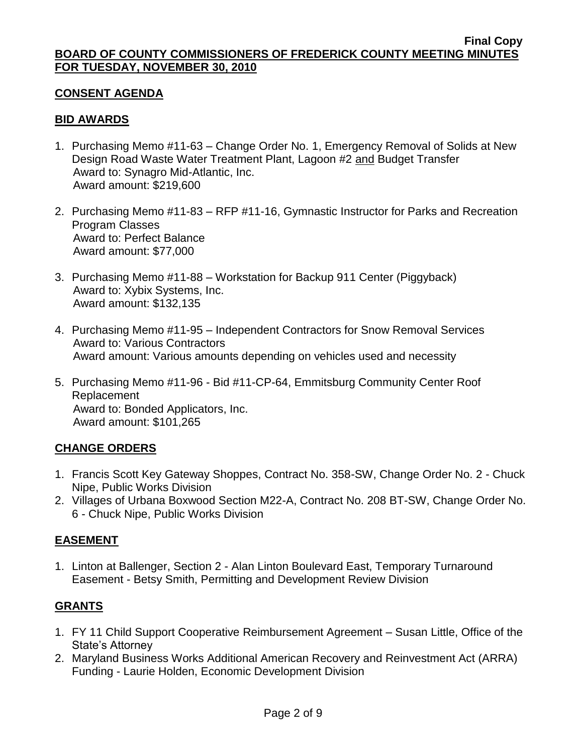# **CONSENT AGENDA**

# **BID AWARDS**

- 1. Purchasing Memo #11-63 Change Order No. 1, Emergency Removal of Solids at New Design Road Waste Water Treatment Plant, Lagoon #2 and Budget Transfer Award to: Synagro Mid-Atlantic, Inc. Award amount: \$219,600
- 2. Purchasing Memo #11-83 RFP #11-16, Gymnastic Instructor for Parks and Recreation Program Classes Award to: Perfect Balance Award amount: \$77,000
- 3. Purchasing Memo #11-88 Workstation for Backup 911 Center (Piggyback) Award to: Xybix Systems, Inc. Award amount: \$132,135
- 4. Purchasing Memo #11-95 Independent Contractors for Snow Removal Services Award to: Various Contractors Award amount: Various amounts depending on vehicles used and necessity
- 5. Purchasing Memo #11-96 Bid #11-CP-64, Emmitsburg Community Center Roof Replacement Award to: Bonded Applicators, Inc. Award amount: \$101,265

# **CHANGE ORDERS**

- 1. Francis Scott Key Gateway Shoppes, Contract No. 358-SW, Change Order No. 2 Chuck Nipe, Public Works Division
- 2. Villages of Urbana Boxwood Section M22-A, Contract No. 208 BT-SW, Change Order No. 6 - Chuck Nipe, Public Works Division

## **EASEMENT**

1. Linton at Ballenger, Section 2 - Alan Linton Boulevard East, Temporary Turnaround Easement - Betsy Smith, Permitting and Development Review Division

# **GRANTS**

- 1. FY 11 Child Support Cooperative Reimbursement Agreement Susan Little, Office of the State's Attorney
- 2. Maryland Business Works Additional American Recovery and Reinvestment Act (ARRA) Funding - Laurie Holden, Economic Development Division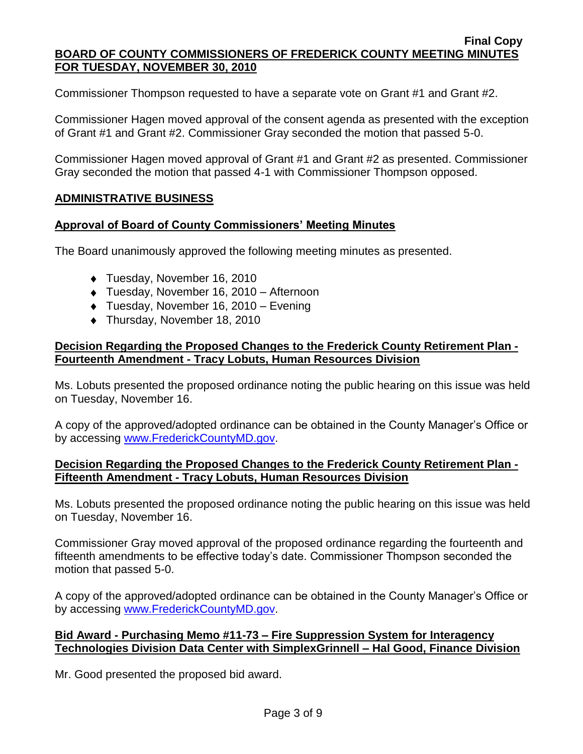Commissioner Thompson requested to have a separate vote on Grant #1 and Grant #2.

Commissioner Hagen moved approval of the consent agenda as presented with the exception of Grant #1 and Grant #2. Commissioner Gray seconded the motion that passed 5-0.

Commissioner Hagen moved approval of Grant #1 and Grant #2 as presented. Commissioner Gray seconded the motion that passed 4-1 with Commissioner Thompson opposed.

# **ADMINISTRATIVE BUSINESS**

## **Approval of Board of County Commissioners' Meeting Minutes**

The Board unanimously approved the following meeting minutes as presented.

- ◆ Tuesday, November 16, 2010
- Tuesday, November 16, 2010 Afternoon
- Tuesday, November 16, 2010 Evening
- ◆ Thursday, November 18, 2010

# **Decision Regarding the Proposed Changes to the Frederick County Retirement Plan - Fourteenth Amendment - Tracy Lobuts, Human Resources Division**

Ms. Lobuts presented the proposed ordinance noting the public hearing on this issue was held on Tuesday, November 16.

A copy of the approved/adopted ordinance can be obtained in the County Manager's Office or by accessing [www.FrederickCountyMD.gov.](file://NT1S5/BOCC/BOCC/BOCC%20Minutes/Mary)

## **Decision Regarding the Proposed Changes to the Frederick County Retirement Plan - Fifteenth Amendment - Tracy Lobuts, Human Resources Division**

Ms. Lobuts presented the proposed ordinance noting the public hearing on this issue was held on Tuesday, November 16.

Commissioner Gray moved approval of the proposed ordinance regarding the fourteenth and fifteenth amendments to be effective today's date. Commissioner Thompson seconded the motion that passed 5-0.

A copy of the approved/adopted ordinance can be obtained in the County Manager's Office or by accessing [www.FrederickCountyMD.gov.](file://NT1S5/BOCC/BOCC/BOCC%20Minutes/Mary)

# **Bid Award - Purchasing Memo #11-73 – Fire Suppression System for Interagency Technologies Division Data Center with SimplexGrinnell – Hal Good, Finance Division**

Mr. Good presented the proposed bid award.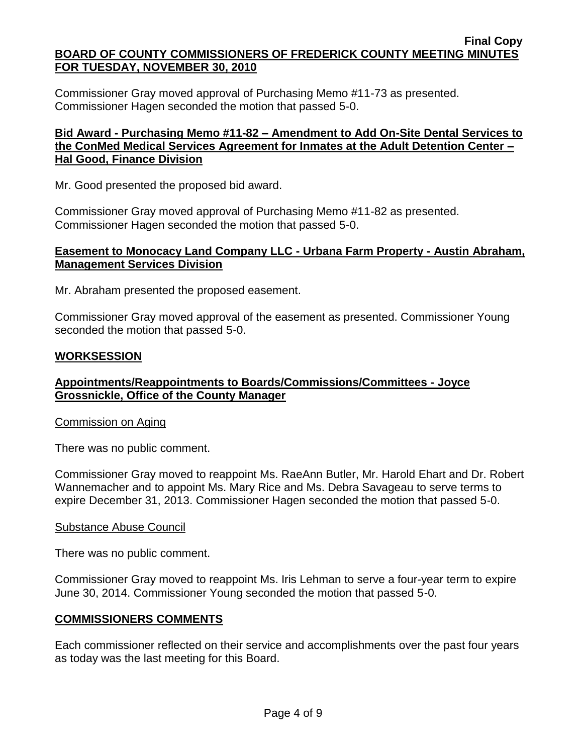Commissioner Gray moved approval of Purchasing Memo #11-73 as presented. Commissioner Hagen seconded the motion that passed 5-0.

## **Bid Award - Purchasing Memo #11-82 – Amendment to Add On-Site Dental Services to the ConMed Medical Services Agreement for Inmates at the Adult Detention Center – Hal Good, Finance Division**

Mr. Good presented the proposed bid award.

Commissioner Gray moved approval of Purchasing Memo #11-82 as presented. Commissioner Hagen seconded the motion that passed 5-0.

## **Easement to Monocacy Land Company LLC - Urbana Farm Property - Austin Abraham, Management Services Division**

Mr. Abraham presented the proposed easement.

Commissioner Gray moved approval of the easement as presented. Commissioner Young seconded the motion that passed 5-0.

# **WORKSESSION**

# **Appointments/Reappointments to Boards/Commissions/Committees - Joyce Grossnickle, Office of the County Manager**

## Commission on Aging

There was no public comment.

Commissioner Gray moved to reappoint Ms. RaeAnn Butler, Mr. Harold Ehart and Dr. Robert Wannemacher and to appoint Ms. Mary Rice and Ms. Debra Savageau to serve terms to expire December 31, 2013. Commissioner Hagen seconded the motion that passed 5-0.

## Substance Abuse Council

There was no public comment.

Commissioner Gray moved to reappoint Ms. Iris Lehman to serve a four-year term to expire June 30, 2014. Commissioner Young seconded the motion that passed 5-0.

## **COMMISSIONERS COMMENTS**

Each commissioner reflected on their service and accomplishments over the past four years as today was the last meeting for this Board.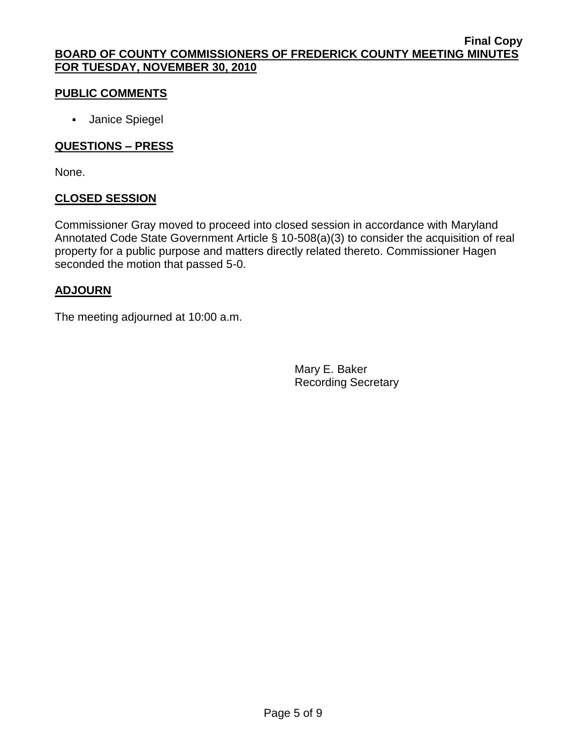# **PUBLIC COMMENTS**

**Janice Spiegel** 

# **QUESTIONS – PRESS**

None.

# **CLOSED SESSION**

Commissioner Gray moved to proceed into closed session in accordance with Maryland Annotated Code State Government Article § 10-508(a)(3) to consider the acquisition of real property for a public purpose and matters directly related thereto. Commissioner Hagen seconded the motion that passed 5-0.

# **ADJOURN**

The meeting adjourned at 10:00 a.m.

Mary E. Baker Recording Secretary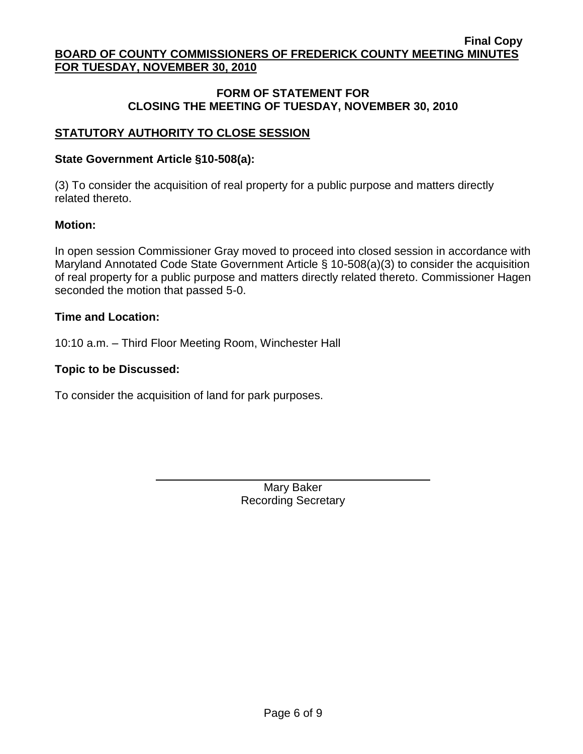## **FORM OF STATEMENT FOR CLOSING THE MEETING OF TUESDAY, NOVEMBER 30, 2010**

# **STATUTORY AUTHORITY TO CLOSE SESSION**

### **State Government Article §10-508(a):**

(3) To consider the acquisition of real property for a public purpose and matters directly related thereto.

#### **Motion:**

In open session Commissioner Gray moved to proceed into closed session in accordance with Maryland Annotated Code State Government Article § 10-508(a)(3) to consider the acquisition of real property for a public purpose and matters directly related thereto. Commissioner Hagen seconded the motion that passed 5-0.

#### **Time and Location:**

10:10 a.m. – Third Floor Meeting Room, Winchester Hall

#### **Topic to be Discussed:**

To consider the acquisition of land for park purposes.

Mary Baker Recording Secretary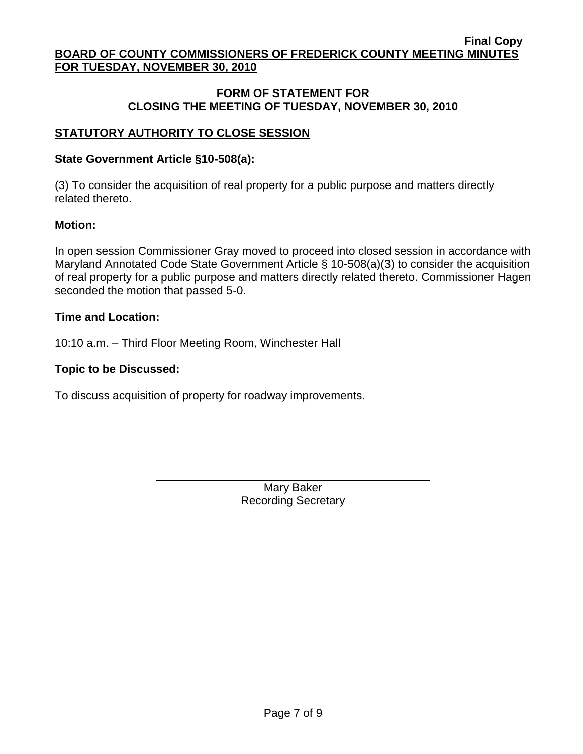## **FORM OF STATEMENT FOR CLOSING THE MEETING OF TUESDAY, NOVEMBER 30, 2010**

# **STATUTORY AUTHORITY TO CLOSE SESSION**

### **State Government Article §10-508(a):**

(3) To consider the acquisition of real property for a public purpose and matters directly related thereto.

#### **Motion:**

In open session Commissioner Gray moved to proceed into closed session in accordance with Maryland Annotated Code State Government Article § 10-508(a)(3) to consider the acquisition of real property for a public purpose and matters directly related thereto. Commissioner Hagen seconded the motion that passed 5-0.

#### **Time and Location:**

10:10 a.m. – Third Floor Meeting Room, Winchester Hall

#### **Topic to be Discussed:**

To discuss acquisition of property for roadway improvements.

Mary Baker Recording Secretary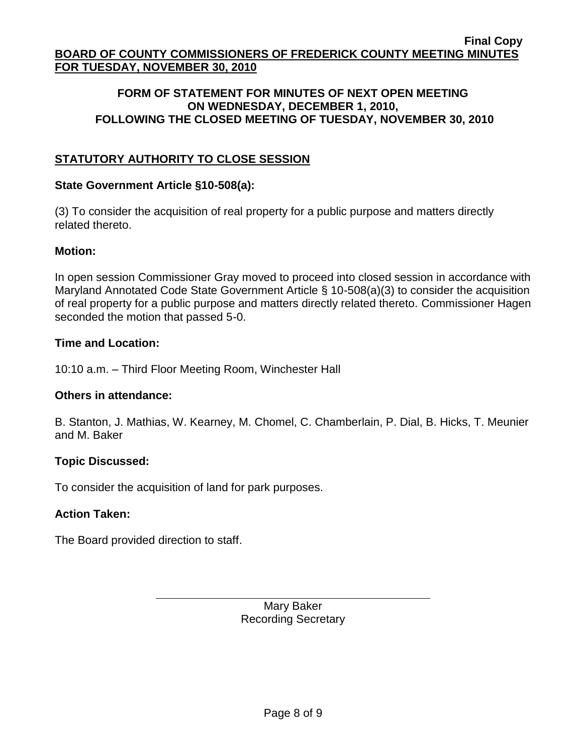## **FORM OF STATEMENT FOR MINUTES OF NEXT OPEN MEETING ON WEDNESDAY, DECEMBER 1, 2010, FOLLOWING THE CLOSED MEETING OF TUESDAY, NOVEMBER 30, 2010**

# **STATUTORY AUTHORITY TO CLOSE SESSION**

## **State Government Article §10-508(a):**

(3) To consider the acquisition of real property for a public purpose and matters directly related thereto.

# **Motion:**

In open session Commissioner Gray moved to proceed into closed session in accordance with Maryland Annotated Code State Government Article § 10-508(a)(3) to consider the acquisition of real property for a public purpose and matters directly related thereto. Commissioner Hagen seconded the motion that passed 5-0.

# **Time and Location:**

10:10 a.m. – Third Floor Meeting Room, Winchester Hall

# **Others in attendance:**

B. Stanton, J. Mathias, W. Kearney, M. Chomel, C. Chamberlain, P. Dial, B. Hicks, T. Meunier and M. Baker

# **Topic Discussed:**

To consider the acquisition of land for park purposes.

# **Action Taken:**

The Board provided direction to staff.

Mary Baker Recording Secretary